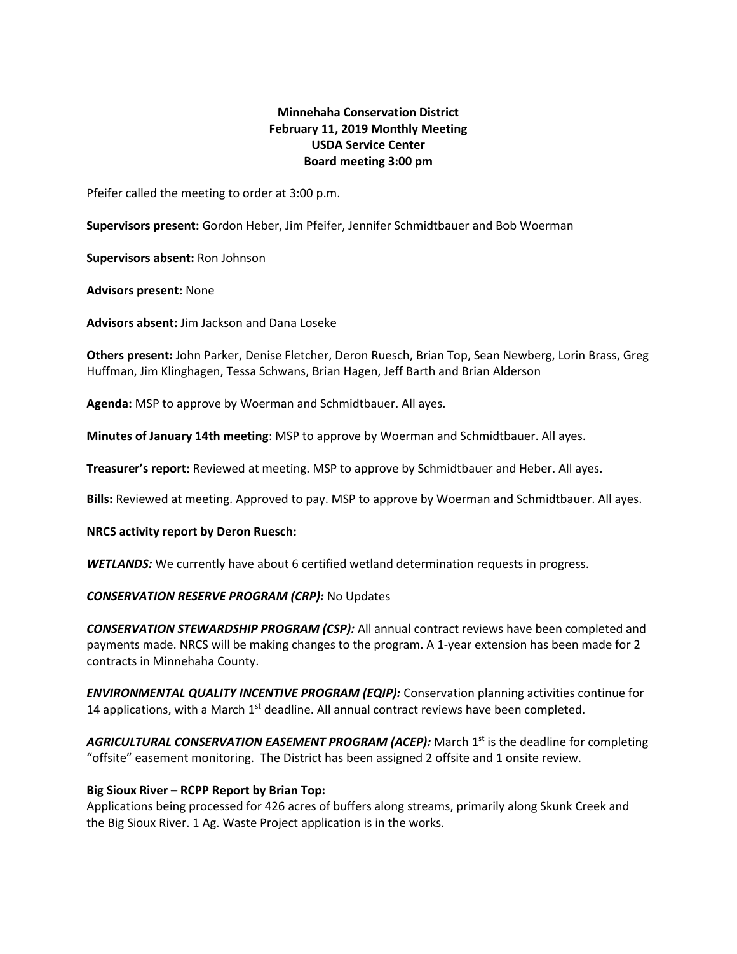# **Minnehaha Conservation District February 11, 2019 Monthly Meeting USDA Service Center Board meeting 3:00 pm**

Pfeifer called the meeting to order at 3:00 p.m.

**Supervisors present:** Gordon Heber, Jim Pfeifer, Jennifer Schmidtbauer and Bob Woerman

**Supervisors absent:** Ron Johnson

**Advisors present:** None

**Advisors absent:** Jim Jackson and Dana Loseke

**Others present:** John Parker, Denise Fletcher, Deron Ruesch, Brian Top, Sean Newberg, Lorin Brass, Greg Huffman, Jim Klinghagen, Tessa Schwans, Brian Hagen, Jeff Barth and Brian Alderson

**Agenda:** MSP to approve by Woerman and Schmidtbauer. All ayes.

**Minutes of January 14th meeting**: MSP to approve by Woerman and Schmidtbauer. All ayes.

**Treasurer's report:** Reviewed at meeting. MSP to approve by Schmidtbauer and Heber. All ayes.

**Bills:** Reviewed at meeting. Approved to pay. MSP to approve by Woerman and Schmidtbauer. All ayes.

#### **NRCS activity report by Deron Ruesch:**

**WETLANDS:** We currently have about 6 certified wetland determination requests in progress.

# *CONSERVATION RESERVE PROGRAM (CRP):* No Updates

*CONSERVATION STEWARDSHIP PROGRAM (CSP):* All annual contract reviews have been completed and payments made. NRCS will be making changes to the program. A 1-year extension has been made for 2 contracts in Minnehaha County.

*ENVIRONMENTAL QUALITY INCENTIVE PROGRAM (EQIP):* Conservation planning activities continue for 14 applications, with a March  $1<sup>st</sup>$  deadline. All annual contract reviews have been completed.

AGRICULTURAL CONSERVATION EASEMENT PROGRAM (ACEP): March 1<sup>st</sup> is the deadline for completing "offsite" easement monitoring. The District has been assigned 2 offsite and 1 onsite review.

# **Big Sioux River – RCPP Report by Brian Top:**

Applications being processed for 426 acres of buffers along streams, primarily along Skunk Creek and the Big Sioux River. 1 Ag. Waste Project application is in the works.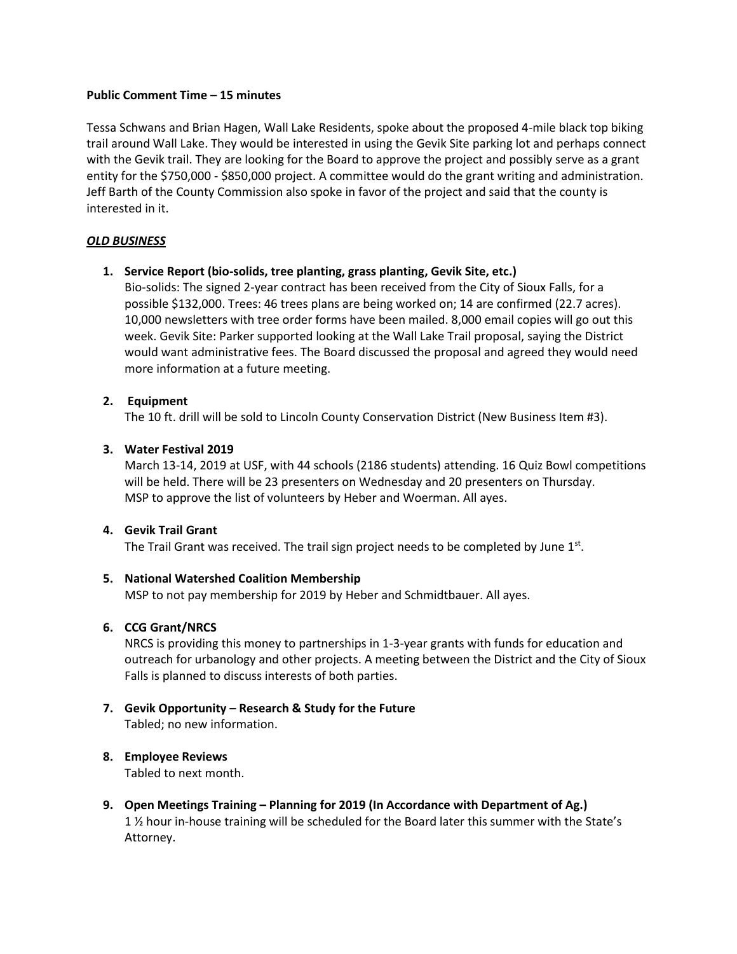#### **Public Comment Time – 15 minutes**

Tessa Schwans and Brian Hagen, Wall Lake Residents, spoke about the proposed 4-mile black top biking trail around Wall Lake. They would be interested in using the Gevik Site parking lot and perhaps connect with the Gevik trail. They are looking for the Board to approve the project and possibly serve as a grant entity for the \$750,000 - \$850,000 project. A committee would do the grant writing and administration. Jeff Barth of the County Commission also spoke in favor of the project and said that the county is interested in it.

# *OLD BUSINESS*

**1. Service Report (bio-solids, tree planting, grass planting, Gevik Site, etc.)**

Bio-solids: The signed 2-year contract has been received from the City of Sioux Falls, for a possible \$132,000. Trees: 46 trees plans are being worked on; 14 are confirmed (22.7 acres). 10,000 newsletters with tree order forms have been mailed. 8,000 email copies will go out this week. Gevik Site: Parker supported looking at the Wall Lake Trail proposal, saying the District would want administrative fees. The Board discussed the proposal and agreed they would need more information at a future meeting.

#### **2. Equipment**

The 10 ft. drill will be sold to Lincoln County Conservation District (New Business Item #3).

#### **3. Water Festival 2019**

March 13-14, 2019 at USF, with 44 schools (2186 students) attending. 16 Quiz Bowl competitions will be held. There will be 23 presenters on Wednesday and 20 presenters on Thursday. MSP to approve the list of volunteers by Heber and Woerman. All ayes.

#### **4. Gevik Trail Grant**

The Trail Grant was received. The trail sign project needs to be completed by June  $1<sup>st</sup>$ .

# **5. National Watershed Coalition Membership**

MSP to not pay membership for 2019 by Heber and Schmidtbauer. All ayes.

# **6. CCG Grant/NRCS**

NRCS is providing this money to partnerships in 1-3-year grants with funds for education and outreach for urbanology and other projects. A meeting between the District and the City of Sioux Falls is planned to discuss interests of both parties.

**7. Gevik Opportunity – Research & Study for the Future**  Tabled; no new information.

# **8. Employee Reviews**

Tabled to next month.

**9. Open Meetings Training – Planning for 2019 (In Accordance with Department of Ag.)** 1 ½ hour in-house training will be scheduled for the Board later this summer with the State's Attorney.